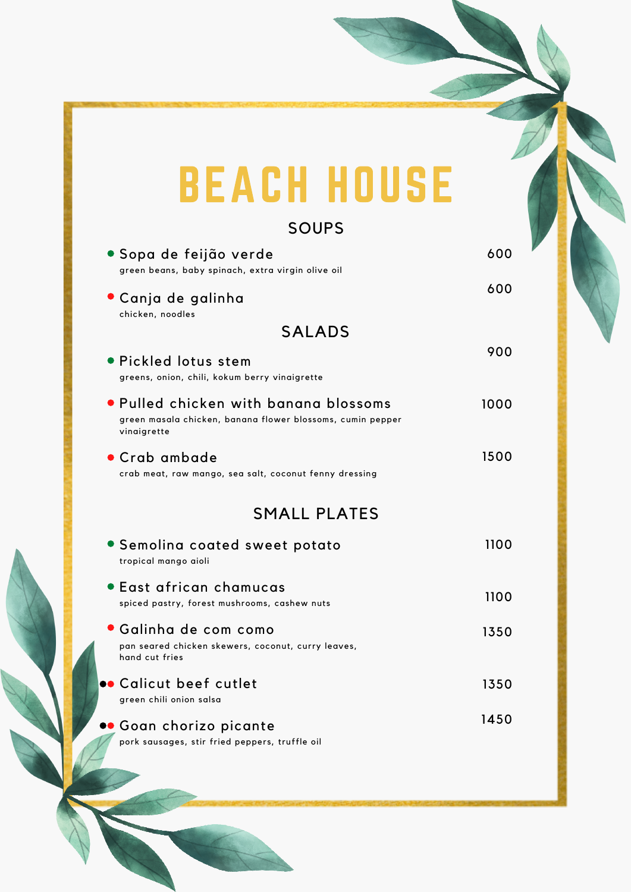## BEACH HOUSE

## SOUPS

| • Sopa de feijão verde<br>green beans, baby spinach, extra virgin olive oil                                        | 600  |
|--------------------------------------------------------------------------------------------------------------------|------|
| • Canja de galinha<br>chicken, noodles                                                                             | 600  |
| <b>SALADS</b>                                                                                                      |      |
| · Pickled lotus stem<br>greens, onion, chili, kokum berry vinaigrette                                              | 900  |
| • Pulled chicken with banana blossoms<br>green masala chicken, banana flower blossoms, cumin pepper<br>vinaigrette | 1000 |
| • Crab ambade<br>crab meat, raw mango, sea salt, coconut fenny dressing                                            | 1500 |
| <b>SMALL PLATES</b>                                                                                                |      |
|                                                                                                                    |      |
| • Semolina coated sweet potato<br>tropical mango aioli                                                             | 1100 |
| • East african chamucas<br>spiced pastry, forest mushrooms, cashew nuts                                            | 1100 |
| • Galinha de com como<br>pan seared chicken skewers, coconut, curry leaves,<br>hand cut fries                      | 1350 |
| <b></b> Calicut beef cutlet<br>green chili onion salsa                                                             | 1350 |